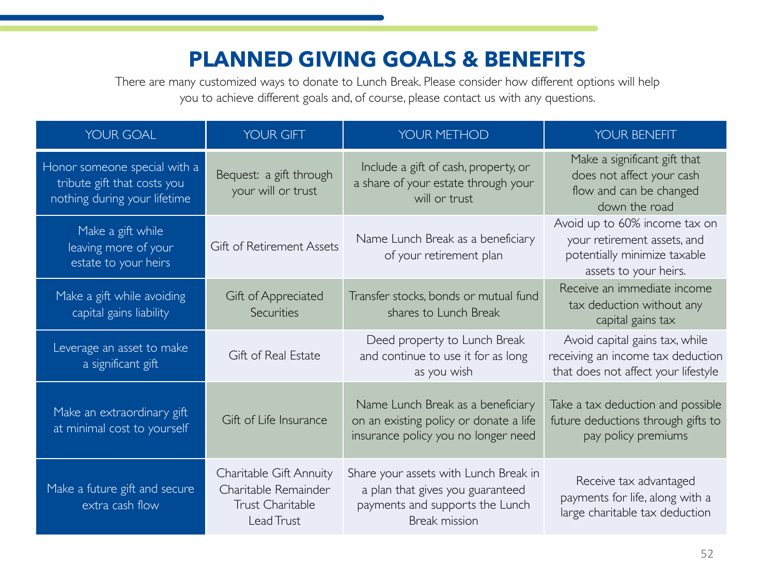## **PLANNED GIVING GOALS & BENEFITS**

There are many customized ways to donate to Lunch Break. Please consider how different options will help you to achieve different goals and, of course, please contact us with any questions.

| <b>YOUR GOAL</b>                                                                            | YOUR GIFT                                                                         | YOUR METHOD                                                                                                                          | YOUR BENEFIT                                                                                                          |
|---------------------------------------------------------------------------------------------|-----------------------------------------------------------------------------------|--------------------------------------------------------------------------------------------------------------------------------------|-----------------------------------------------------------------------------------------------------------------------|
| Honor someone special with a<br>tribute gift that costs you<br>nothing during your lifetime | Bequest: a gift through<br>your will or trust                                     | Include a gift of cash, property, or<br>a share of your estate through your<br>will or trust                                         | Make a significant gift that<br>does not affect your cash<br>flow and can be changed<br>down the road                 |
| Make a gift while<br>leaving more of your<br>estate to your heirs                           | Gift of Retirement Assets                                                         | Name Lunch Break as a beneficiary<br>of your retirement plan                                                                         | Avoid up to 60% income tax on<br>your retirement assets, and<br>potentially minimize taxable<br>assets to your heirs. |
| Make a gift while avoiding<br>capital gains liability                                       | Gift of Appreciated<br>Securities                                                 | Transfer stocks, bonds or mutual fund<br>shares to Lunch Break                                                                       | Receive an immediate income<br>tax deduction without any<br>capital gains tax                                         |
| Leverage an asset to make<br>a significant gift                                             | Gift of Real Estate                                                               | Deed property to Lunch Break<br>and continue to use it for as long<br>as you wish                                                    | Avoid capital gains tax, while<br>receiving an income tax deduction<br>that does not affect your lifestyle            |
| Make an extraordinary gift<br>at minimal cost to yourself                                   | Gift of Life Insurance                                                            | Name Lunch Break as a beneficiary<br>on an existing policy or donate a life<br>insurance policy you no longer need                   | Take a tax deduction and possible<br>future deductions through gifts to<br>pay policy premiums                        |
| Make a future gift and secure<br>extra cash flow                                            | Charitable Gift Annuity<br>Charitable Remainder<br>Trust Charitable<br>Lead Trust | Share your assets with Lunch Break in<br>a plan that gives you guaranteed<br>payments and supports the Lunch<br><b>Break mission</b> | Receive tax advantaged<br>payments for life, along with a<br>large charitable tax deduction                           |